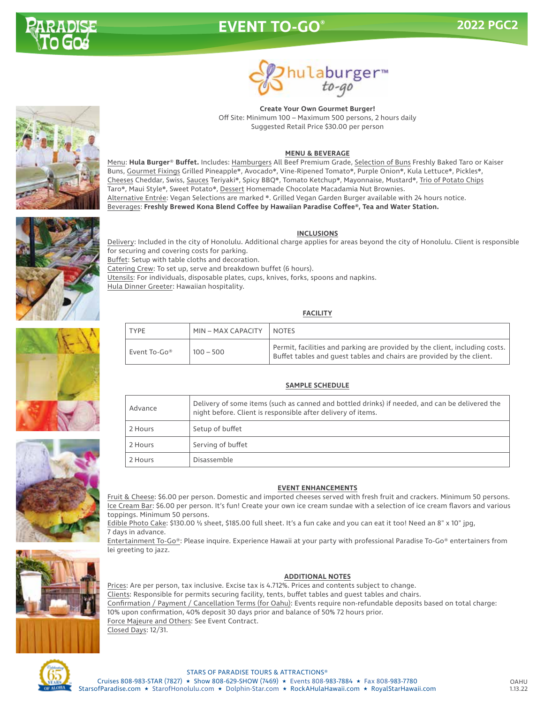

# **EVENT TO-GO® 2022 PGC2**



**Create Your Own Gourmet Burger!** Off Site: Minimum 100 – Maximum 500 persons, 2 hours daily Suggested Retail Price \$30.00 per person

#### **MENU & BEVERAGE**

Menu: **Hula Burger**® **Buffet.** Includes: Hamburgers All Beef Premium Grade, Selection of Buns Freshly Baked Taro or Kaiser Buns, Gourmet Fixings Grilled Pineapple❋, Avocado❋, Vine-Ripened Tomato❋, Purple Onion❋, Kula Lettuce❋, Pickles❋, Cheeses Cheddar, Swiss, Sauces Teriyaki❋, Spicy BBQ❋, Tomato Ketchup❋, Mayonnaise, Mustard❋, Trio of Potato Chips Taro❋, Maui Style❋, Sweet Potato❋, Dessert Homemade Chocolate Macadamia Nut Brownies. Alternative Entrée: Vegan Selections are marked ❋. Grilled Vegan Garden Burger available with 24 hours notice. Beverages: **Freshly Brewed Kona Blend Coffee by Hawaiian Paradise Coffee®, Tea and Water Station.**

#### **INCLUSIONS**



Delivery: Included in the city of Honolulu. Additional charge applies for areas beyond the city of Honolulu. Client is responsible for securing and covering costs for parking. Buffet: Setup with table cloths and decoration. Catering Crew: To set up, serve and breakdown buffet (6 hours). Utensils: For individuals, disposable plates, cups, knives, forks, spoons and napkins. Hula Dinner Greeter: Hawaiian hospitality.

#### **FACILITY**

| <b>TYPE</b>  | MIN-MAX CAPACITY | <b>NOTES</b>                                                                                                                                                               |
|--------------|------------------|----------------------------------------------------------------------------------------------------------------------------------------------------------------------------|
| Event To-Go® | $100 - 500$      | $^\dagger$ Permit, facilities and parking are provided by the client, including costs. $^\dagger$<br>Buffet tables and quest tables and chairs are provided by the client. |

#### **SAMPLE SCHEDULE**

| Advance | Delivery of some items (such as canned and bottled drinks) if needed, and can be delivered the<br>night before. Client is responsible after delivery of items. |  |
|---------|----------------------------------------------------------------------------------------------------------------------------------------------------------------|--|
| 2 Hours | Setup of buffet                                                                                                                                                |  |
| 2 Hours | Serving of buffet                                                                                                                                              |  |
| 2 Hours | Disassemble                                                                                                                                                    |  |
|         |                                                                                                                                                                |  |

#### **EVENT ENHANCEMENTS**

Fruit & Cheese: \$6.00 per person. Domestic and imported cheeses served with fresh fruit and crackers. Minimum 50 persons. Ice Cream Bar: \$6.00 per person. It's fun! Create your own ice cream sundae with a selection of ice cream flavors and various toppings. Minimum 50 persons.

Edible Photo Cake: \$130.00 ½ sheet, \$185.00 full sheet. It's a fun cake and you can eat it too! Need an 8" x 10" jpg, 7 days in advance.

Entertainment To-Go®: Please inquire. Experience Hawaii at your party with professional Paradise To-Go® entertainers from lei greeting to jazz.



#### **ADDITIONAL NOTES**

Prices: Are per person, tax inclusive. Excise tax is 4.712%. Prices and contents subject to change. Clients: Responsible for permits securing facility, tents, buffet tables and guest tables and chairs. Confirmation / Payment / Cancellation Terms (for Oahu): Events require non-refundable deposits based on total charge: 10% upon confirmation, 40% deposit 30 days prior and balance of 50% 72 hours prior. Force Majeure and Others: See Event Contract. Closed Days: 12/31.